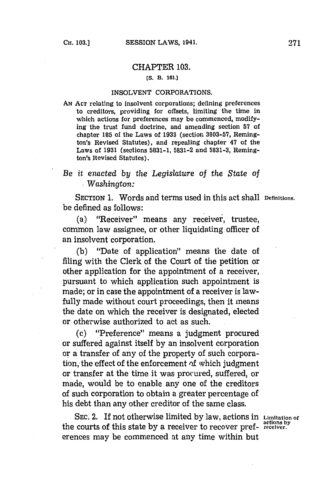## CHAPTER **103.**

## **[S. B. 161.]**

## **INSOLVENT** CORPORATIONS,

**AN ACT** relating to insolvent corporations; defining preferences to creditors, providing for offsets, limiting the time in which actions for preferences may be commenced, modifying the trust fund doctrine, and amending section **57** of chapter **185** of the Laws of **1933** (section **3803-57,** Remington's Revised Statutes), and repealing chapter 47 of the Laws of **1931** (sections **5831-1, 5831-2** and **5831-3,** Remington's Revised Statutes).

## *Be it enacted by the Legislature* of the State *of ,Washington:*

SECTION **1.** Words and terms used in this act shall **Deflnitions.** be defined as follows:

(a) "Receiver" means any receiver, trustee, common law assignee, or other liquidating officer of an insolvent corporation.

**(b)** "Date of application" means the date of filing with the Clerk of the Court of the petition or other application for the appointment of a receiver, pursuant to which application such appointment is made; or in case the appointment of a receiver is lawfully made without court proceedings, then it means the date on which the receiver is designated, elected or otherwise authorized to act as such.

(c) "Preference" means a judgment procured or suffered against itself **by** an insolvent corporation or a transfer of any of the property of such corporation, the effect of the enforcement of which judgment or transfer at the time it was procured, suffered, or made, would be to enable any one of the creditors of such corporation to obtain a greater percentage of his debt than any other creditor of the same class.

**SEC.** 2. If not otherwise limited **by** law, actions in **Limitation of** the courts of this state by a receiver to recover preferences may be commenced at any time within but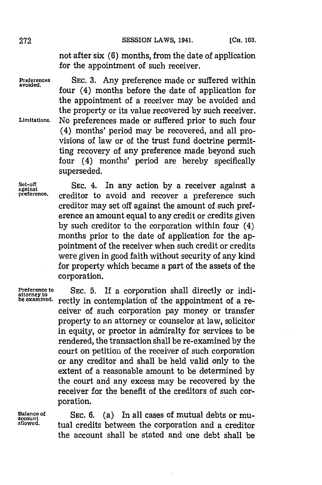not after six **(6)** months, from the date of application for the appointment of such receiver.

Preferences SEC. 3. Any preference made or suffered within four  $(4)$  months before the date of application for the appointment of a receiver may be avoided and the property or its value recovered **by** such receiver. **Limitations.** No preferences made or suffered prior to such four (4) months' period may be recovered, and all provisions of law or of the trust fund doctrine permitting recovery of any preference made beyond such four (4) months' period are hereby specifically superseded.

Set-off SEC. 4. In any action by a receiver against a **preference.** creditor to avoid and recover a preference such creditor may set off against the amount of such preference an amount equal to any credit or credits given **by** such creditor to the corporation within four (4) months prior to the date of application for the appointment of the receiver when such credit or credits were given in good faith without security of any kind for property which became a part of the assets of the corporation.

Preference to SEC. 5. If a corporation shall directly or indi-<br>attorney to SEC. 5. If a contemplation of the appointment of a rerectly in contemplation of the appointment of a receiver of such corporation pay money or transfer property to an attorney or counselor at law, solicitor in equity, or proctor in admiralty for services to be rendered, the transaction shall be re-examined **by** the court on petition of the receiver of such corporation or any creditor and shall be held valid only to the extent of a reasonable amount to be determined **by** the court and any excess may be recovered **by** the receiver for the benefit of the creditors of such corporation.

**Balance of** SEC. 6. (a) In all cases of mutual debts or mu-<br>
account<br>
allowed. <br> **buyed.** <br> **buyed.** <br> **buyed.** <br> **buyed.** <br> **buyed.** <br> **buyed.** <br> **buyed.** <br> **buyed.** <br> **buyed.** <br> **orgeditor allowed.** tual credits between the corporation and a creditor the account shall be stated and one debt shall be